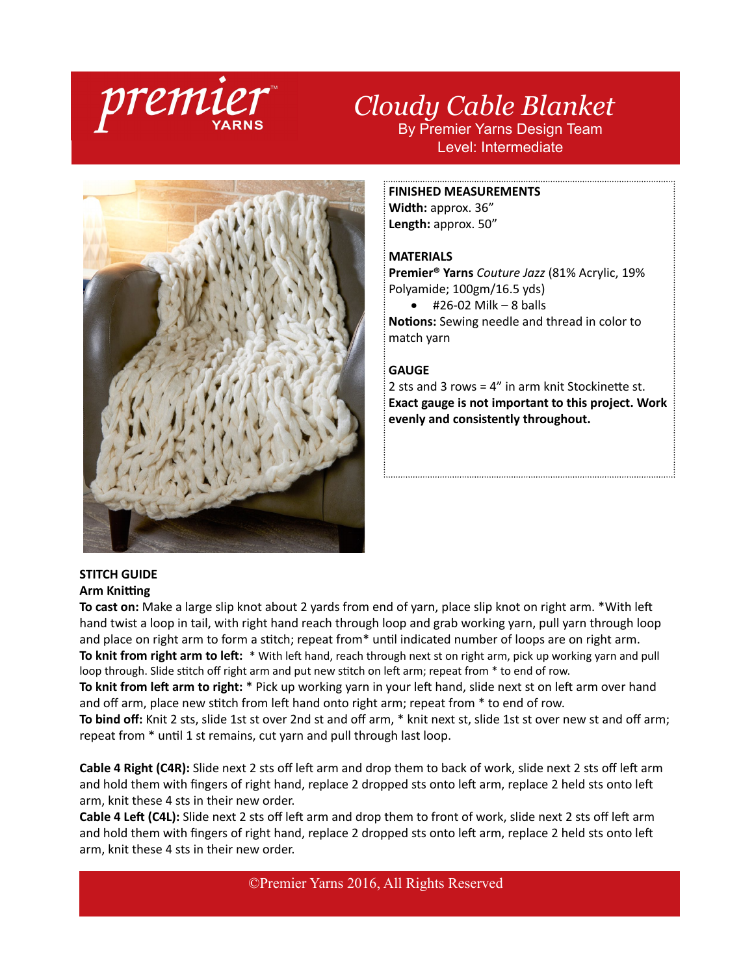

# *Cloudy Cable Blanket* By Premier Yarns Design Team Level: Intermediate



#### **FINISHED MEASUREMENTS**

**Width:** approx. 36" **Length:** approx. 50"

## **MATERIALS**

**Premier® Yarns** *Couture Jazz* (81% Acrylic, 19% Polyamide; 100gm/16.5 yds)

 $\bullet$  #26-02 Milk – 8 balls **Notions:** Sewing needle and thread in color to match yarn

### **GAUGE**

2 sts and 3 rows = 4" in arm knit Stockinette st. **Exact gauge is not important to this project. Work evenly and consistently throughout.**

#### **STITCH GUIDE Arm Knitting**

**To cast on:** Make a large slip knot about 2 yards from end of yarn, place slip knot on right arm. \*With left hand twist a loop in tail, with right hand reach through loop and grab working yarn, pull yarn through loop and place on right arm to form a stitch; repeat from\* until indicated number of loops are on right arm. **To knit from right arm to left:** \* With left hand, reach through next st on right arm, pick up working yarn and pull loop through. Slide stitch off right arm and put new stitch on left arm; repeat from  $*$  to end of row.

**To knit from left arm to right:** \* Pick up working yarn in your left hand, slide next st on left arm over hand and off arm, place new stitch from left hand onto right arm; repeat from \* to end of row.

**To bind off:** Knit 2 sts, slide 1st st over 2nd st and off arm, \* knit next st, slide 1st st over new st and off arm; repeat from \* until 1 st remains, cut yarn and pull through last loop.

**Cable 4 Right (C4R):** Slide next 2 sts off left arm and drop them to back of work, slide next 2 sts off left arm and hold them with fingers of right hand, replace 2 dropped sts onto left arm, replace 2 held sts onto left arm, knit these 4 sts in their new order.

**Cable 4 Left (C4L):** Slide next 2 sts off left arm and drop them to front of work, slide next 2 sts off left arm and hold them with fingers of right hand, replace 2 dropped sts onto left arm, replace 2 held sts onto left arm, knit these 4 sts in their new order.

©Premier Yarns 2016, All Rights Reserved